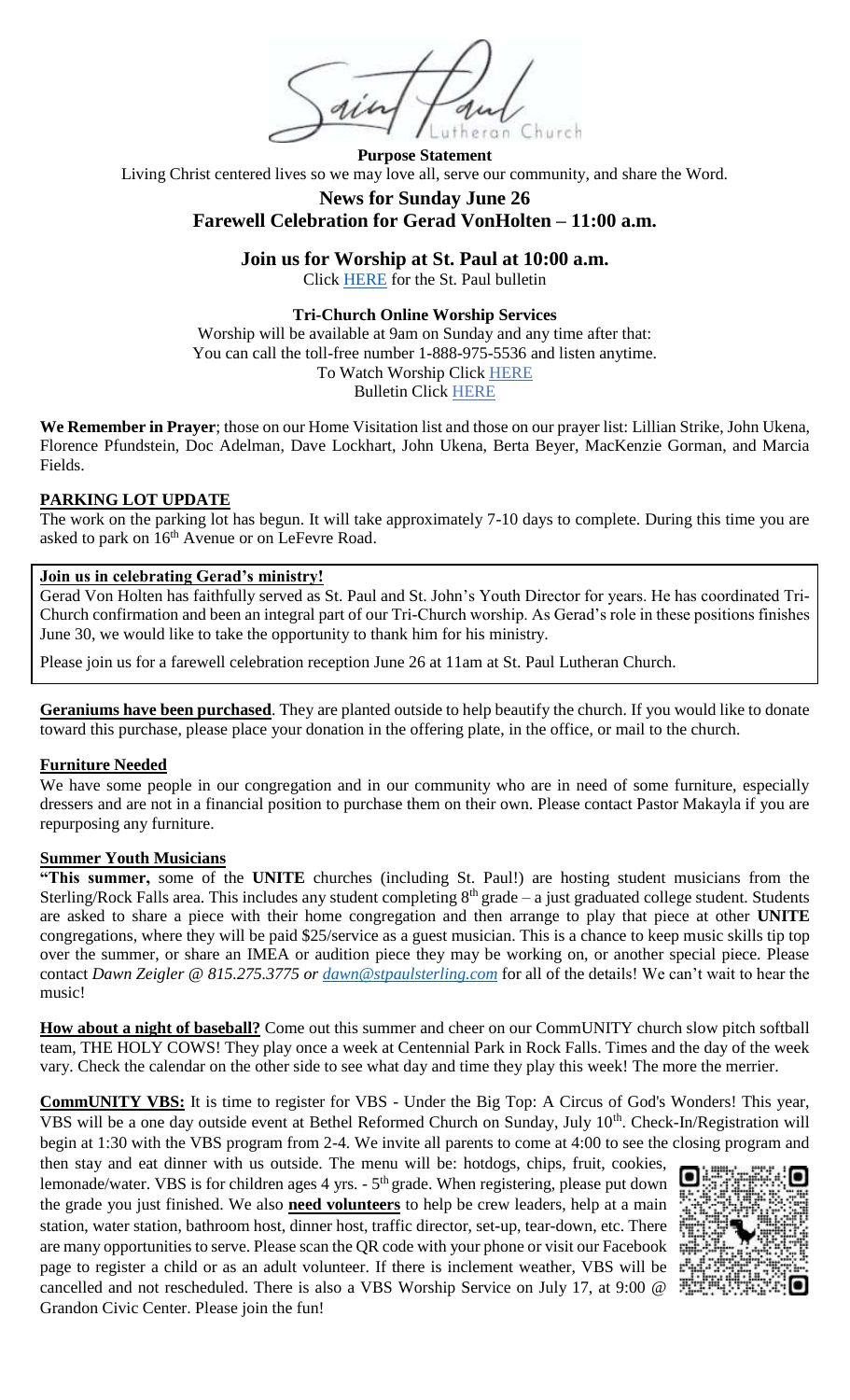an Church

**Purpose Statement** Living Christ centered lives so we may love all, serve our community, and share the Word.

# **News for Sunday June 26 Farewell Celebration for Gerad VonHolten – 11:00 a.m.**

**Join us for Worship at St. Paul at 10:00 a.m.**

Click [HERE](https://stpaulsterling.com/wp-content/uploads/2022/06/6-26-st-paul.pdf) for the St. Paul bulletin

## **Tri-Church Online Worship Services**

Worship will be available at 9am on Sunday and any time after that: You can call the toll-free number 1-888-975-5536 and listen anytime. To Watch Worship Click [HERE](https://stpaulsterling.com/sermons/6-26-22-online-worship) Bulletin Click [HERE](https://stpaulsterling.com/wp-content/uploads/2022/06/6-26-tri-church.pdf)

**We Remember in Prayer**; those on our Home Visitation list and those on our prayer list: Lillian Strike, John Ukena, Florence Pfundstein, Doc Adelman, Dave Lockhart, John Ukena, Berta Beyer, MacKenzie Gorman, and Marcia Fields.

## **PARKING LOT UPDATE**

The work on the parking lot has begun. It will take approximately 7-10 days to complete. During this time you are asked to park on  $16<sup>th</sup>$  Avenue or on LeFevre Road.

### **Join us in celebrating Gerad's ministry!**

Gerad Von Holten has faithfully served as St. Paul and St. John's Youth Director for years. He has coordinated Tri-Church confirmation and been an integral part of our Tri-Church worship. As Gerad's role in these positions finishes June 30, we would like to take the opportunity to thank him for his ministry.

Please join us for a farewell celebration reception June 26 at 11am at St. Paul Lutheran Church.

**Geraniums have been purchased**. They are planted outside to help beautify the church. If you would like to donate toward this purchase, please place your donation in the offering plate, in the office, or mail to the church.

#### **Furniture Needed**

We have some people in our congregation and in our community who are in need of some furniture, especially dressers and are not in a financial position to purchase them on their own. Please contact Pastor Makayla if you are repurposing any furniture.

# **Summer Youth Musicians**

**"This summer,** some of the **UNITE** churches (including St. Paul!) are hosting student musicians from the Sterling/Rock Falls area. This includes any student completing  $8<sup>th</sup>$  grade – a just graduated college student. Students are asked to share a piece with their home congregation and then arrange to play that piece at other **UNITE**  congregations, where they will be paid \$25/service as a guest musician. This is a chance to keep music skills tip top over the summer, or share an IMEA or audition piece they may be working on, or another special piece. Please contact *Dawn Zeigler @ 815.275.3775 or [dawn@stpaulsterling.com](mailto:dawn@stpaulsterling.com)* for all of the details! We can't wait to hear the music!

**How about a night of baseball?** Come out this summer and cheer on our CommUNITY church slow pitch softball team, THE HOLY COWS! They play once a week at Centennial Park in Rock Falls. Times and the day of the week vary. Check the calendar on the other side to see what day and time they play this week! The more the merrier.

**CommUNITY VBS:** It is time to register for VBS - Under the Big Top: A Circus of God's Wonders! This year, VBS will be a one day outside event at Bethel Reformed Church on Sunday, July 10<sup>th</sup>. Check-In/Registration will begin at 1:30 with the VBS program from 2-4. We invite all parents to come at 4:00 to see the closing program and

then stay and eat dinner with us outside. The menu will be: hotdogs, chips, fruit, cookies, lemonade/water. VBS is for children ages 4 yrs. - 5<sup>th</sup> grade. When registering, please put down the grade you just finished. We also **need volunteers** to help be crew leaders, help at a main station, water station, bathroom host, dinner host, traffic director, set-up, tear-down, etc. There are many opportunities to serve. Please scan the QR code with your phone or visit our Facebook page to register a child or as an adult volunteer. If there is inclement weather, VBS will be  $\mathbb{F}^{\mathbb{I}}$ cancelled and not rescheduled. There is also a VBS Worship Service on July 17, at 9:00 @ Grandon Civic Center. Please join the fun!